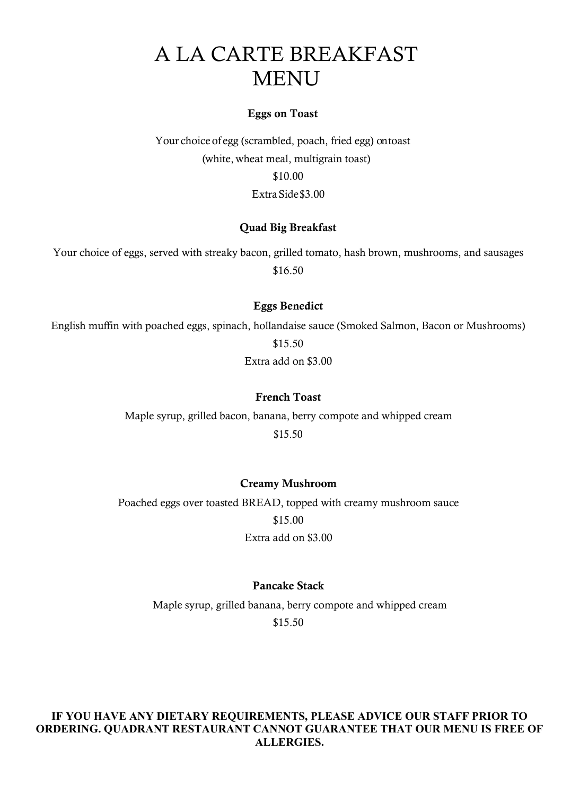# A LA CARTE BREAKFAST MENU

## Eggs on Toast

Your choice of egg (scrambled, poach, fried egg) ontoast (white, wheat meal, multigrain toast) \$10.00 ExtraSide\$3.00

# Quad Big Breakfast

Your choice of eggs, served with streaky bacon, grilled tomato, hash brown, mushrooms, and sausages \$16.50

#### Eggs Benedict

English muffin with poached eggs, spinach, hollandaise sauce (Smoked Salmon, Bacon or Mushrooms) \$15.50

Extra add on \$3.00

#### French Toast

Maple syrup, grilled bacon, banana, berry compote and whipped cream \$15.50

#### Creamy Mushroom

Poached eggs over toasted BREAD, topped with creamy mushroom sauce \$15.00 Extra add on \$3.00

#### Pancake Stack

Maple syrup, grilled banana, berry compote and whipped cream

\$15.50

#### **IF YOU HAVE ANY DIETARY REQUIREMENTS, PLEASE ADVICE OUR STAFF PRIOR TO ORDERING. QUADRANT RESTAURANT CANNOT GUARANTEE THAT OUR MENU IS FREE OF ALLERGIES.**